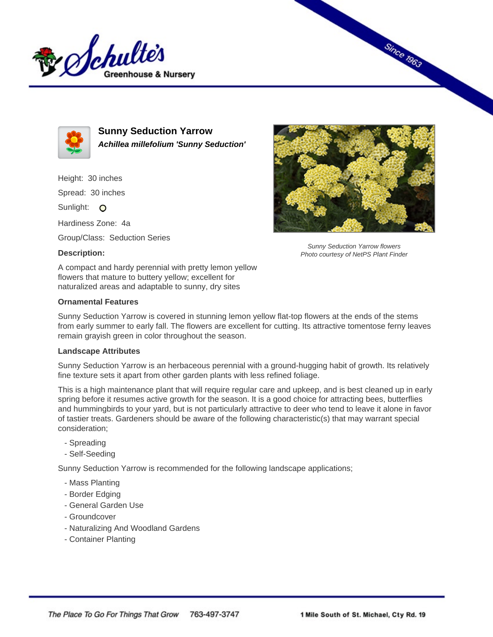



**Sunny Seduction Yarrow Achillea millefolium 'Sunny Seduction'**

Height: 30 inches Spread: 30 inches

Sunlight: O

Hardiness Zone: 4a

Group/Class: Seduction Series

## **Description:**



Since 1963

Sunny Seduction Yarrow flowers Photo courtesy of NetPS Plant Finder

A compact and hardy perennial with pretty lemon yellow flowers that mature to buttery yellow; excellent for naturalized areas and adaptable to sunny, dry sites

## **Ornamental Features**

Sunny Seduction Yarrow is covered in stunning lemon yellow flat-top flowers at the ends of the stems from early summer to early fall. The flowers are excellent for cutting. Its attractive tomentose ferny leaves remain grayish green in color throughout the season.

## **Landscape Attributes**

Sunny Seduction Yarrow is an herbaceous perennial with a ground-hugging habit of growth. Its relatively fine texture sets it apart from other garden plants with less refined foliage.

This is a high maintenance plant that will require regular care and upkeep, and is best cleaned up in early spring before it resumes active growth for the season. It is a good choice for attracting bees, butterflies and hummingbirds to your yard, but is not particularly attractive to deer who tend to leave it alone in favor of tastier treats. Gardeners should be aware of the following characteristic(s) that may warrant special consideration;

- Spreading
- Self-Seeding

Sunny Seduction Yarrow is recommended for the following landscape applications;

- Mass Planting
- Border Edging
- General Garden Use
- Groundcover
- Naturalizing And Woodland Gardens
- Container Planting